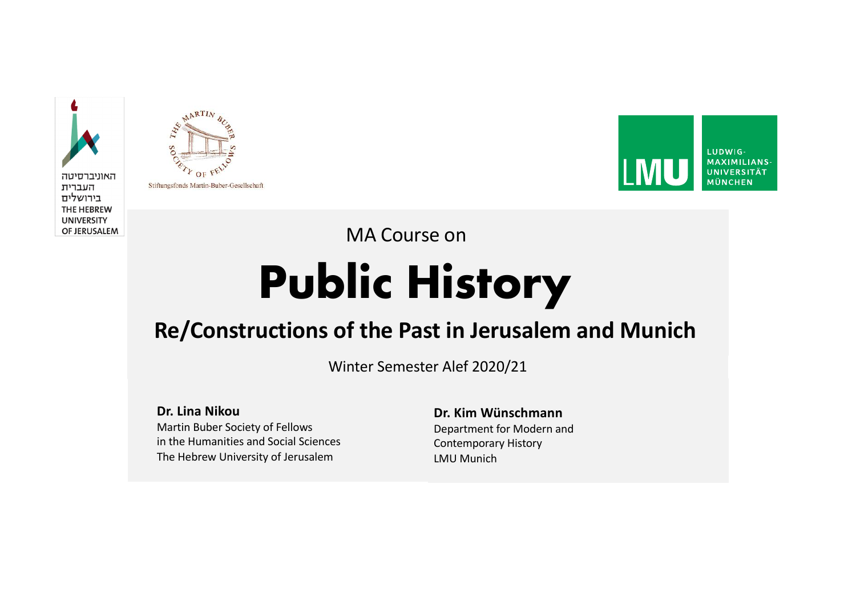



Stiftungsfonds Martin-Buber-Gesellschaft



MA Course on

# **Public History**

#### **Re/Constructions of the Past in Jerusalem and Munich**

Winter Semester Alef 2020/21

**Dr. Lina Nikou**

Martin Buber Society of Fellows in the Humanities and Social Sciences The Hebrew University of Jerusalem

**Dr. Kim Wünschmann** Department for Modern and Contemporary History LMU Munich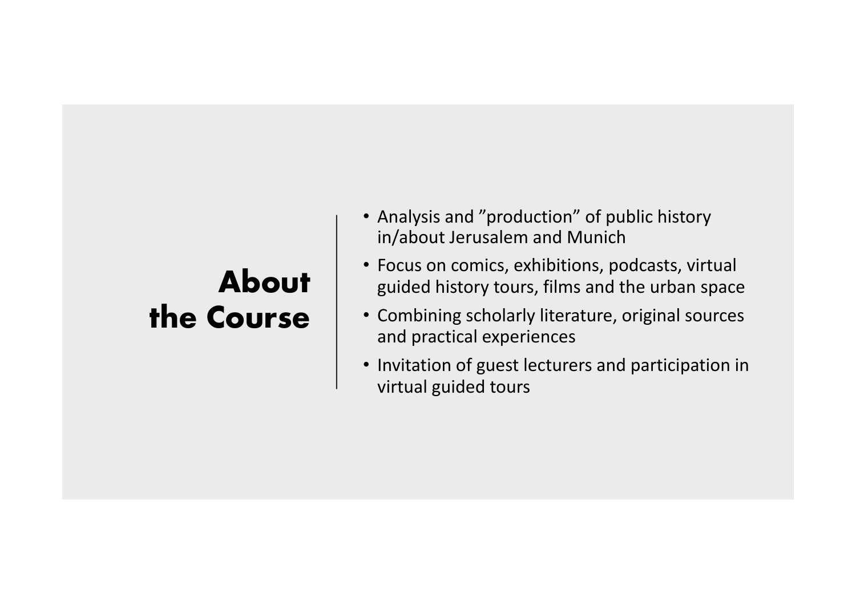### **About the Course**

- Analysis and "production" of public history in/about Jerusalem and Munich
- Focus on comics, exhibitions, podcasts, virtual guided history tours, films and the urban space
- Combining scholarly literature, original sources and practical experiences
- Invitation of guest lecturers and participation in virtual guided tours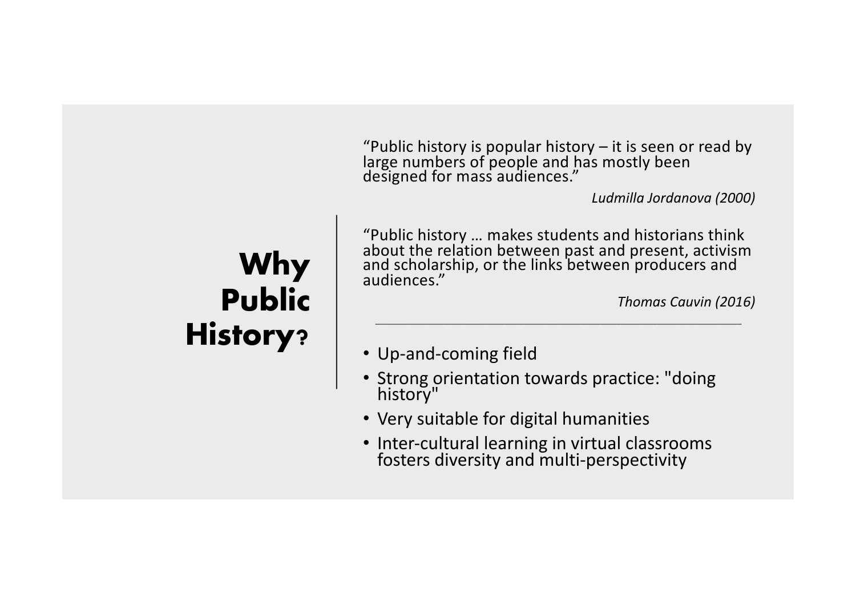"Public history is popular history – it is seen or read by large numbers of people and has mostly been designed for mass audiences."

*Ludmilla Jordanova (2000)*

### **Why Public History?**

"Public history … makes students and historians think about the relation between past and present, activism and scholarship, or the links between producers and audiences."

*\_\_\_\_\_\_\_\_\_\_\_\_\_\_\_\_\_\_\_\_\_\_\_\_\_\_\_\_\_\_\_\_\_\_\_\_\_\_\_\_\_\_\_\_\_\_\_\_\_\_\_\_\_\_\_\_\_\_\_\_\_\_\_\_\_\_\_\_\_\_\_\_\_\_\_\_\_\_\_\_\_\_\_\_\_\_\_\_\_\_\_*

*Thomas Cauvin (2016)*

- Up-and-coming field
- Strong orientation towards practice: "doing history"
- Very suitable for digital humanities
- Inter-cultural learning in virtual classrooms fosters diversity and multi-perspectivity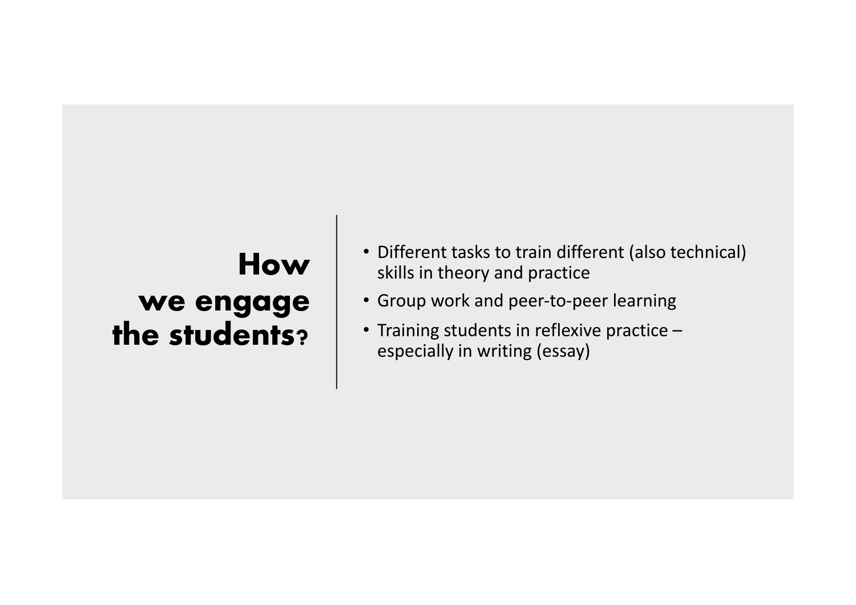### **How we engage the students?**

- Different tasks to train different (also technical) skills in theory and practice
- Group work and peer-to-peer learning
- Training students in reflexive practice especially in writing (essay)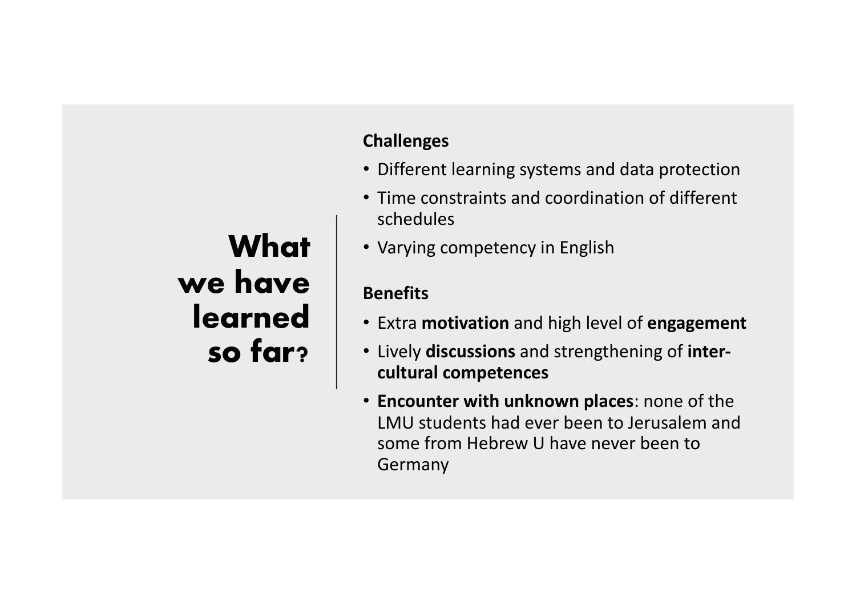## **What we have learned so far?**

#### **Challenges**

- Different learning systems and data protection
- Time constraints and coordination of different schedules
- Varying competency in English

#### **Benefits**

- Extra **motivation** and high level of **engagement**
- Lively **discussions** and strengthening of **intercultural competences**
- **Encounter with unknown places**: none of the LMU students had ever been to Jerusalem and some from Hebrew U have never been to Germany